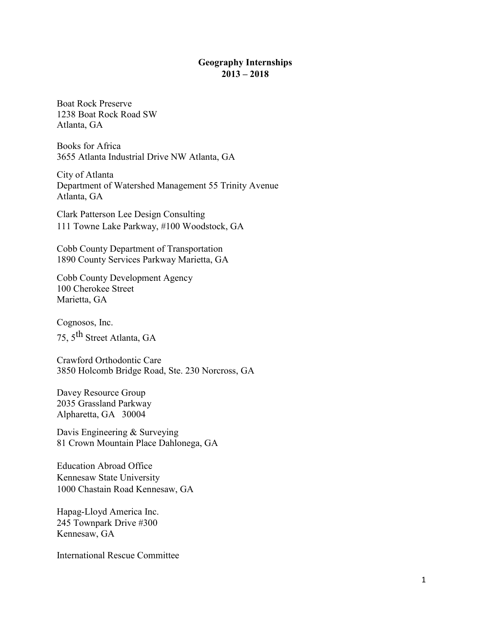## **Geography Internships 2013 – 2018**

Boat Rock Preserve 1238 Boat Rock Road SW Atlanta, GA

Books for Africa 3655 Atlanta Industrial Drive NW Atlanta, GA

City of Atlanta Department of Watershed Management 55 Trinity Avenue Atlanta, GA

Clark Patterson Lee Design Consulting 111 Towne Lake Parkway, #100 Woodstock, GA

Cobb County Department of Transportation 1890 County Services Parkway Marietta, GA

Cobb County Development Agency 100 Cherokee Street Marietta, GA

Cognosos, Inc.

75, 5th Street Atlanta, GA

Crawford Orthodontic Care 3850 Holcomb Bridge Road, Ste. 230 Norcross, GA

Davey Resource Group 2035 Grassland Parkway Alpharetta, GA 30004

Davis Engineering & Surveying 81 Crown Mountain Place Dahlonega, GA

Education Abroad Office Kennesaw State University 1000 Chastain Road Kennesaw, GA

Hapag-Lloyd America Inc. 245 Townpark Drive #300 Kennesaw, GA

International Rescue Committee